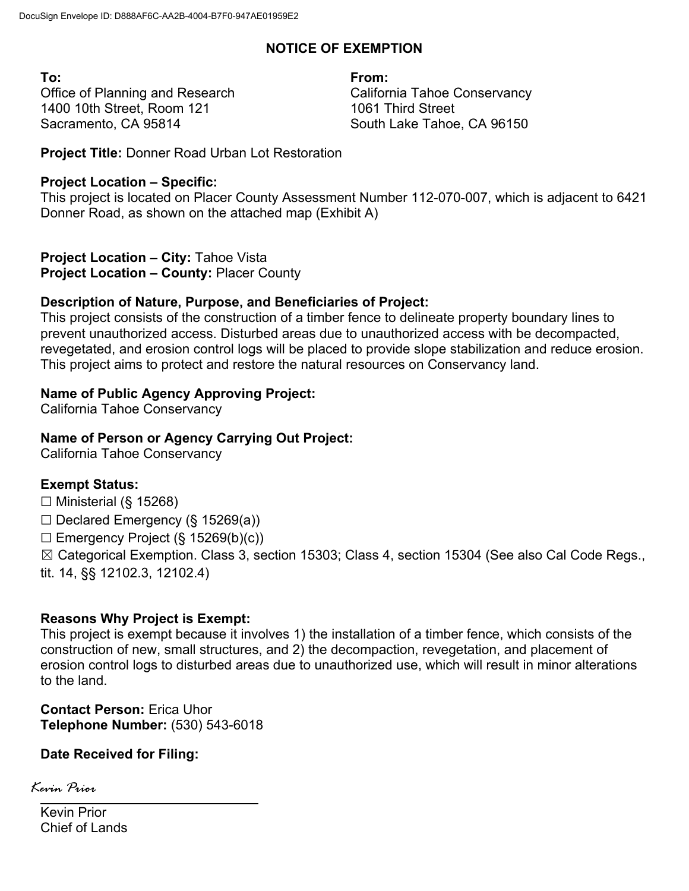# **NOTICE OF EXEMPTION**

**To: From:**  Office of Planning and Research 1400 10th Street, Room 121 Sacramento, CA 95814

California Tahoe Conservancy 1061 Third Street South Lake Tahoe, CA 96150

**Project Title:** Donner Road Urban Lot Restoration

# **Project Location – Specific:**

This project is located on Placer County Assessment Number 112-070-007, which is adjacent to 6421 Donner Road, as shown on the attached map (Exhibit A)

**Project Location – City:** Tahoe Vista **Project Location – County:** Placer County

# **Description of Nature, Purpose, and Beneficiaries of Project:**

This project consists of the construction of a timber fence to delineate property boundary lines to prevent unauthorized access. Disturbed areas due to unauthorized access with be decompacted, revegetated, and erosion control logs will be placed to provide slope stabilization and reduce erosion. This project aims to protect and restore the natural resources on Conservancy land.

# **Name of Public Agency Approving Project:**

California Tahoe Conservancy

# **Name of Person or Agency Carrying Out Project:**

California Tahoe Conservancy

# **Exempt Status:**

 $\Box$  Ministerial (§ 15268)

 $\Box$  Declared Emergency (§ 15269(a))

 $\Box$  Emergency Project (§ 15269(b)(c))

☒ Categorical Exemption. Class 3, section 15303; Class 4, section 15304 (See also Cal Code Regs.,

tit. 14, §§ 12102.3, 12102.4)

# **Reasons Why Project is Exempt:**

This project is exempt because it involves 1) the installation of a timber fence, which consists of the construction of new, small structures, and 2) the decompaction, revegetation, and placement of erosion control logs to disturbed areas due to unauthorized use, which will result in minor alterations to the land.

**Contact Person:** Erica Uhor **Telephone Number:** (530) 543-6018

# **Date Received for Filing:**

Kevin Prior Chief of Lands